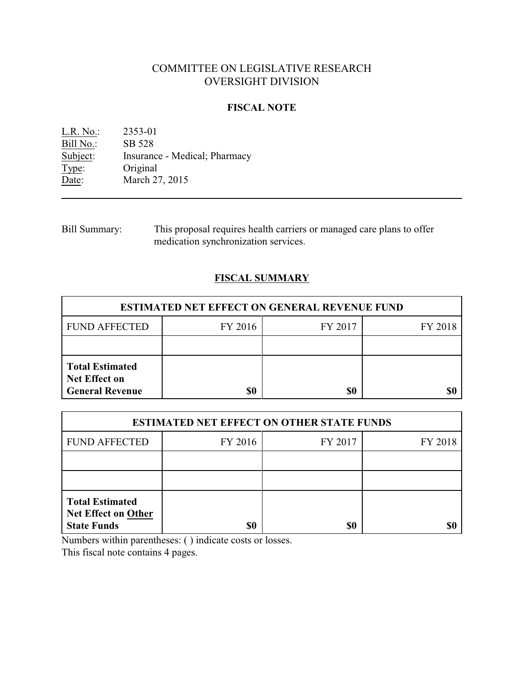# COMMITTEE ON LEGISLATIVE RESEARCH OVERSIGHT DIVISION

## **FISCAL NOTE**

L.R. No.: 2353-01 Bill No.: SB 528<br>Subject: Insurance Insurance - Medical; Pharmacy Type: Original<br>Date: March 2 March 27, 2015

Bill Summary: This proposal requires health carriers or managed care plans to offer medication synchronization services.

## **FISCAL SUMMARY**

| <b>ESTIMATED NET EFFECT ON GENERAL REVENUE FUND</b>                      |         |         |         |  |
|--------------------------------------------------------------------------|---------|---------|---------|--|
| <b>FUND AFFECTED</b>                                                     | FY 2016 | FY 2017 | FY 2018 |  |
|                                                                          |         |         |         |  |
| <b>Total Estimated</b><br><b>Net Effect on</b><br><b>General Revenue</b> | \$0     | \$0     |         |  |

| <b>ESTIMATED NET EFFECT ON OTHER STATE FUNDS</b>                           |         |         |         |  |
|----------------------------------------------------------------------------|---------|---------|---------|--|
| <b>FUND AFFECTED</b>                                                       | FY 2016 | FY 2017 | FY 2018 |  |
|                                                                            |         |         |         |  |
|                                                                            |         |         |         |  |
| <b>Total Estimated</b><br><b>Net Effect on Other</b><br><b>State Funds</b> | \$0     | \$0     |         |  |

Numbers within parentheses: ( ) indicate costs or losses.

This fiscal note contains 4 pages.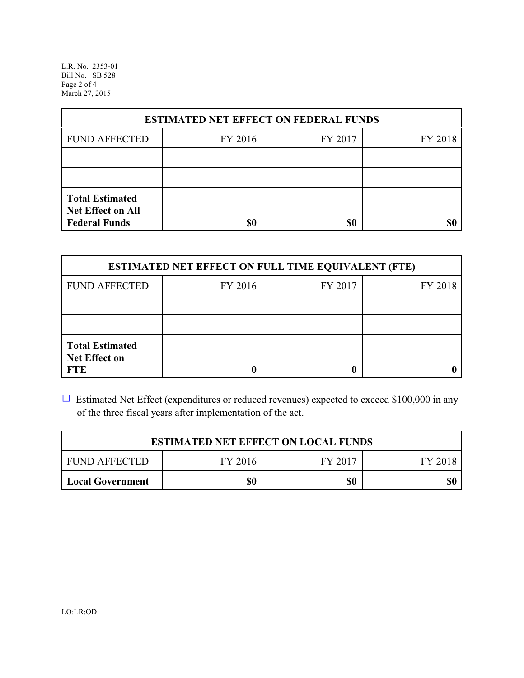L.R. No. 2353-01 Bill No. SB 528 Page 2 of 4 March 27, 2015

| <b>ESTIMATED NET EFFECT ON FEDERAL FUNDS</b>                        |         |         |         |  |
|---------------------------------------------------------------------|---------|---------|---------|--|
| <b>FUND AFFECTED</b>                                                | FY 2016 | FY 2017 | FY 2018 |  |
|                                                                     |         |         |         |  |
|                                                                     |         |         |         |  |
| <b>Total Estimated</b><br>Net Effect on All<br><b>Federal Funds</b> | \$0     | \$0     |         |  |

| <b>ESTIMATED NET EFFECT ON FULL TIME EQUIVALENT (FTE)</b>    |         |         |         |  |
|--------------------------------------------------------------|---------|---------|---------|--|
| <b>FUND AFFECTED</b>                                         | FY 2016 | FY 2017 | FY 2018 |  |
|                                                              |         |         |         |  |
|                                                              |         |         |         |  |
| <b>Total Estimated</b><br><b>Net Effect on</b><br><b>FTE</b> |         |         |         |  |

 $\Box$  Estimated Net Effect (expenditures or reduced revenues) expected to exceed \$100,000 in any of the three fiscal years after implementation of the act.

| <b>ESTIMATED NET EFFECT ON LOCAL FUNDS</b> |         |         |         |
|--------------------------------------------|---------|---------|---------|
| <b>FUND AFFECTED</b>                       | FY 2016 | FY 2017 | FY 2018 |
| <b>Local Government</b>                    | \$0     | \$0     | \$0     |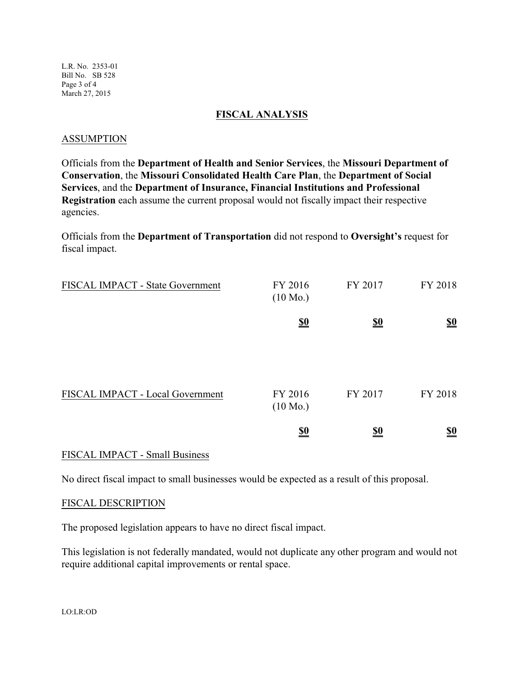L.R. No. 2353-01 Bill No. SB 528 Page 3 of 4 March 27, 2015

#### **FISCAL ANALYSIS**

#### ASSUMPTION

Officials from the **Department of Health and Senior Services**, the **Missouri Department of Conservation**, the **Missouri Consolidated Health Care Plan**, the **Department of Social Services**, and the **Department of Insurance, Financial Institutions and Professional Registration** each assume the current proposal would not fiscally impact their respective agencies.

Officials from the **Department of Transportation** did not respond to **Oversight's** request for fiscal impact.

| FISCAL IMPACT - State Government | FY 2016<br>$(10 \text{ Mo.})$ | FY 2017    | FY 2018                       |
|----------------------------------|-------------------------------|------------|-------------------------------|
|                                  | $\underline{\underline{\$0}}$ | <u>\$0</u> | $\underline{\underline{\$0}}$ |
| FISCAL IMPACT - Local Government | FY 2016<br>$(10 \text{ Mo.})$ | FY 2017    | FY 2018                       |
|                                  | $\underline{\underline{\$0}}$ | <u>\$0</u> | <u>\$0</u>                    |

### FISCAL IMPACT - Small Business

No direct fiscal impact to small businesses would be expected as a result of this proposal.

#### FISCAL DESCRIPTION

The proposed legislation appears to have no direct fiscal impact.

This legislation is not federally mandated, would not duplicate any other program and would not require additional capital improvements or rental space.